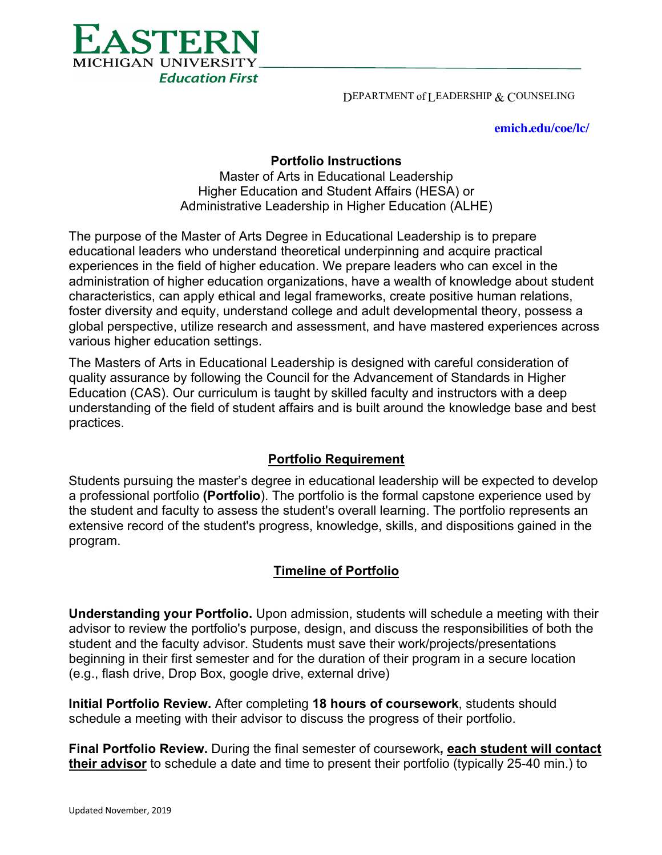

DEPARTMENT of LEADERSHIP & COUNSELING

**emich.edu/coe/lc/**

## **Portfolio Instructions**

Master of Arts in Educational Leadership Higher Education and Student Affairs (HESA) or Administrative Leadership in Higher Education (ALHE)

The purpose of the Master of Arts Degree in Educational Leadership is to prepare educational leaders who understand theoretical underpinning and acquire practical experiences in the field of higher education. We prepare leaders who can excel in the administration of higher education organizations, have a wealth of knowledge about student characteristics, can apply ethical and legal frameworks, create positive human relations, foster diversity and equity, understand college and adult developmental theory, possess a global perspective, utilize research and assessment, and have mastered experiences across various higher education settings.

The Masters of Arts in Educational Leadership is designed with careful consideration of quality assurance by following the Council for the Advancement of Standards in Higher Education (CAS). Our curriculum is taught by skilled faculty and instructors with a deep understanding of the field of student affairs and is built around the knowledge base and best practices.

## **Portfolio Requirement**

Students pursuing the master's degree in educational leadership will be expected to develop a professional portfolio **(Portfolio**). The portfolio is the formal capstone experience used by the student and faculty to assess the student's overall learning. The portfolio represents an extensive record of the student's progress, knowledge, skills, and dispositions gained in the program.

## **Timeline of Portfolio**

**Understanding your Portfolio.** Upon admission, students will schedule a meeting with their advisor to review the portfolio's purpose, design, and discuss the responsibilities of both the student and the faculty advisor. Students must save their work/projects/presentations beginning in their first semester and for the duration of their program in a secure location (e.g., flash drive, Drop Box, google drive, external drive)

**Initial Portfolio Review.** After completing **18 hours of coursework**, students should schedule a meeting with their advisor to discuss the progress of their portfolio.

**Final Portfolio Review.** During the final semester of coursework**, each student will contact their advisor** to schedule a date and time to present their portfolio (typically 25-40 min.) to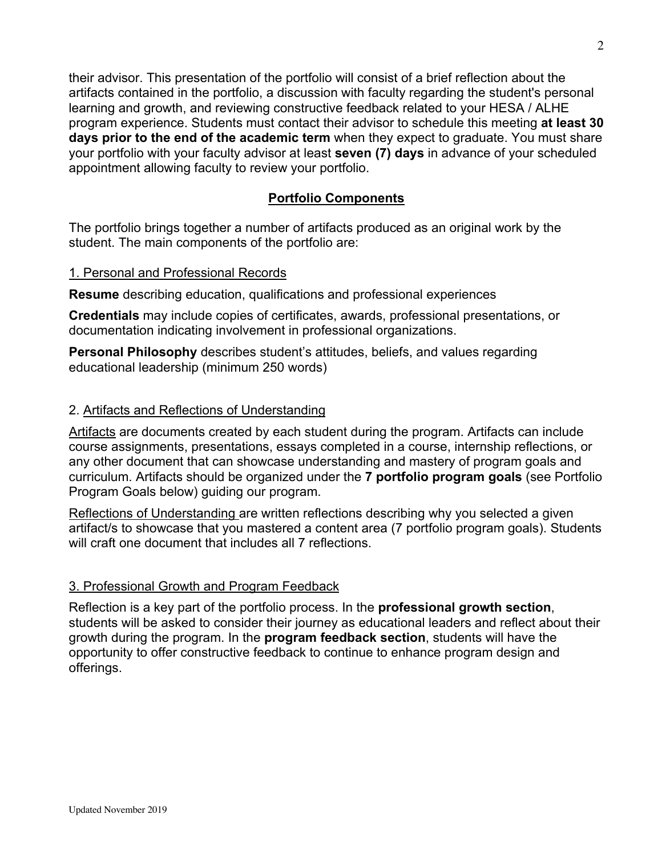their advisor. This presentation of the portfolio will consist of a brief reflection about the artifacts contained in the portfolio, a discussion with faculty regarding the student's personal learning and growth, and reviewing constructive feedback related to your HESA / ALHE program experience. Students must contact their advisor to schedule this meeting **at least 30 days prior to the end of the academic term** when they expect to graduate. You must share your portfolio with your faculty advisor at least **seven (7) days** in advance of your scheduled appointment allowing faculty to review your portfolio.

# **Portfolio Components**

The portfolio brings together a number of artifacts produced as an original work by the student. The main components of the portfolio are:

#### 1. Personal and Professional Records

**Resume** describing education, qualifications and professional experiences

**Credentials** may include copies of certificates, awards, professional presentations, or documentation indicating involvement in professional organizations.

**Personal Philosophy** describes student's attitudes, beliefs, and values regarding educational leadership (minimum 250 words)

#### 2. Artifacts and Reflections of Understanding

Artifacts are documents created by each student during the program. Artifacts can include course assignments, presentations, essays completed in a course, internship reflections, or any other document that can showcase understanding and mastery of program goals and curriculum. Artifacts should be organized under the **7 portfolio program goals** (see Portfolio Program Goals below) guiding our program.

Reflections of Understanding are written reflections describing why you selected a given artifact/s to showcase that you mastered a content area (7 portfolio program goals). Students will craft one document that includes all 7 reflections.

## 3. Professional Growth and Program Feedback

Reflection is a key part of the portfolio process. In the **professional growth section**, students will be asked to consider their journey as educational leaders and reflect about their growth during the program. In the **program feedback section**, students will have the opportunity to offer constructive feedback to continue to enhance program design and offerings.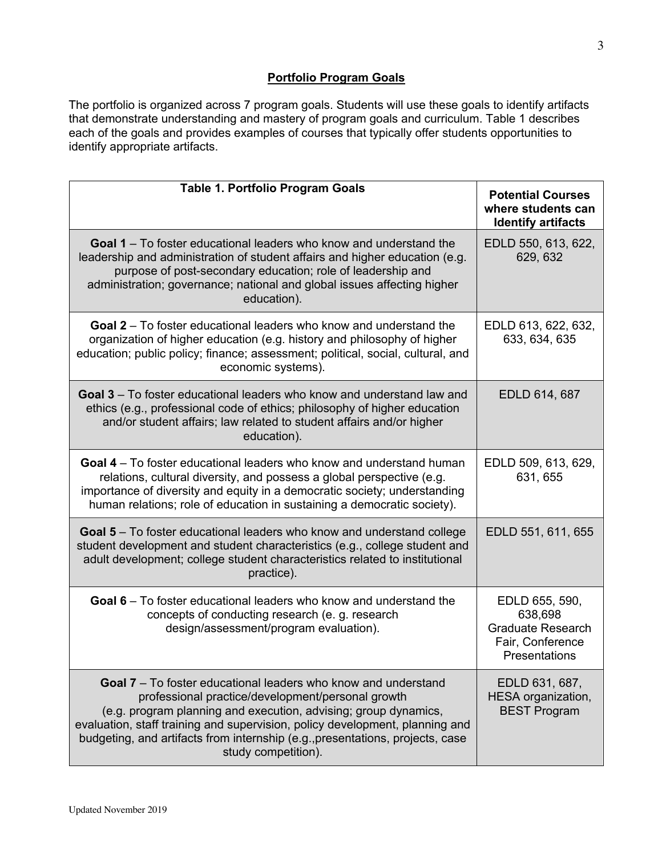### **Portfolio Program Goals**

The portfolio is organized across 7 program goals. Students will use these goals to identify artifacts that demonstrate understanding and mastery of program goals and curriculum. Table 1 describes each of the goals and provides examples of courses that typically offer students opportunities to identify appropriate artifacts.

| <b>Table 1. Portfolio Program Goals</b>                                                                                                                                                                                                                                                                                                                                               | <b>Potential Courses</b><br>where students can<br><b>Identify artifacts</b>                |
|---------------------------------------------------------------------------------------------------------------------------------------------------------------------------------------------------------------------------------------------------------------------------------------------------------------------------------------------------------------------------------------|--------------------------------------------------------------------------------------------|
| <b>Goal 1</b> – To foster educational leaders who know and understand the<br>leadership and administration of student affairs and higher education (e.g.<br>purpose of post-secondary education; role of leadership and<br>administration; governance; national and global issues affecting higher<br>education).                                                                     | EDLD 550, 613, 622,<br>629, 632                                                            |
| <b>Goal 2</b> – To foster educational leaders who know and understand the<br>organization of higher education (e.g. history and philosophy of higher<br>education; public policy; finance; assessment; political, social, cultural, and<br>economic systems).                                                                                                                         | EDLD 613, 622, 632,<br>633, 634, 635                                                       |
| Goal 3 - To foster educational leaders who know and understand law and<br>ethics (e.g., professional code of ethics; philosophy of higher education<br>and/or student affairs; law related to student affairs and/or higher<br>education).                                                                                                                                            | EDLD 614, 687                                                                              |
| Goal 4 – To foster educational leaders who know and understand human<br>relations, cultural diversity, and possess a global perspective (e.g.<br>importance of diversity and equity in a democratic society; understanding<br>human relations; role of education in sustaining a democratic society).                                                                                 | EDLD 509, 613, 629,<br>631, 655                                                            |
| <b>Goal 5</b> – To foster educational leaders who know and understand college<br>student development and student characteristics (e.g., college student and<br>adult development; college student characteristics related to institutional<br>practice).                                                                                                                              | EDLD 551, 611, 655                                                                         |
| <b>Goal 6</b> – To foster educational leaders who know and understand the<br>concepts of conducting research (e. g. research<br>design/assessment/program evaluation).                                                                                                                                                                                                                | EDLD 655, 590,<br>638,698<br><b>Graduate Research</b><br>Fair, Conference<br>Presentations |
| <b>Goal 7</b> – To foster educational leaders who know and understand<br>professional practice/development/personal growth<br>(e.g. program planning and execution, advising; group dynamics,<br>evaluation, staff training and supervision, policy development, planning and<br>budgeting, and artifacts from internship (e.g., presentations, projects, case<br>study competition). | EDLD 631, 687,<br>HESA organization,<br><b>BEST Program</b>                                |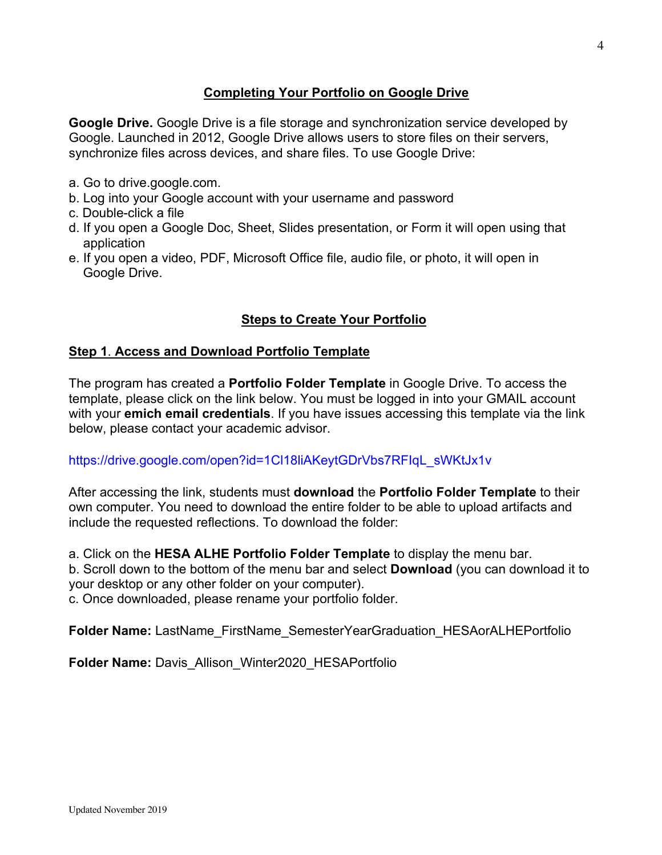# **Completing Your Portfolio on Google Drive**

**Google Drive.** Google Drive is a file storage and synchronization service developed by Google. Launched in 2012, Google Drive allows users to store files on their servers, synchronize files across devices, and share files. To use Google Drive:

- a. Go to drive.google.com.
- b. Log into your Google account with your username and password
- c. Double-click a file
- d. If you open a Google Doc, Sheet, Slides presentation, or Form it will open using that application
- e. If you open a video, PDF, Microsoft Office file, audio file, or photo, it will open in Google Drive.

# **Steps to Create Your Portfolio**

#### **Step 1**. **Access and Download Portfolio Template**

The program has created a **Portfolio Folder Template** in Google Drive. To access the template, please click on the link below. You must be logged in into your GMAIL account with your **emich email credentials**. If you have issues accessing this template via the link below, please contact your academic advisor.

#### https://drive.google.com/open?id=1Cl18liAKeytGDrVbs7RFIqL\_sWKtJx1v

After accessing the link, students must **download** the **Portfolio Folder Template** to their own computer. You need to download the entire folder to be able to upload artifacts and include the requested reflections. To download the folder:

a. Click on the **HESA ALHE Portfolio Folder Template** to display the menu bar. b. Scroll down to the bottom of the menu bar and select **Download** (you can download it to

your desktop or any other folder on your computer).

c. Once downloaded, please rename your portfolio folder.

**Folder Name:** LastName\_FirstName\_SemesterYearGraduation\_HESAorALHEPortfolio

**Folder Name:** Davis\_Allison\_Winter2020\_HESAPortfolio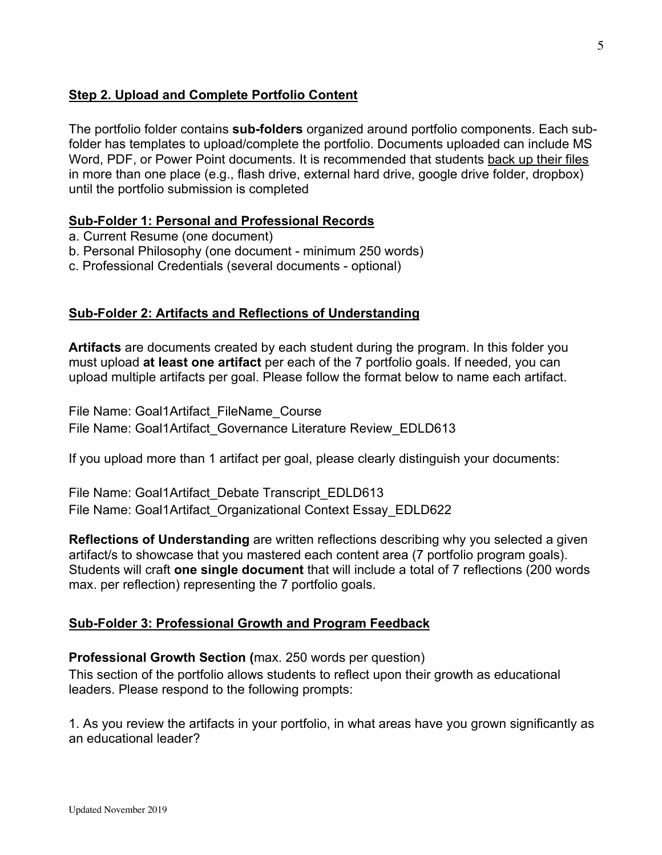# **Step 2. Upload and Complete Portfolio Content**

The portfolio folder contains **sub-folders** organized around portfolio components. Each subfolder has templates to upload/complete the portfolio. Documents uploaded can include MS Word, PDF, or Power Point documents. It is recommended that students back up their files in more than one place (e.g., flash drive, external hard drive, google drive folder, dropbox) until the portfolio submission is completed

## **Sub-Folder 1: Personal and Professional Records**

- a. Current Resume (one document)
- b. Personal Philosophy (one document minimum 250 words)
- c. Professional Credentials (several documents optional)

#### **Sub-Folder 2: Artifacts and Reflections of Understanding**

**Artifacts** are documents created by each student during the program. In this folder you must upload **at least one artifact** per each of the 7 portfolio goals. If needed, you can upload multiple artifacts per goal. Please follow the format below to name each artifact.

File Name: Goal1Artifact\_FileName\_Course

File Name: Goal1Artifact Governance Literature Review EDLD613

If you upload more than 1 artifact per goal, please clearly distinguish your documents:

File Name: Goal1Artifact Debate Transcript EDLD613 File Name: Goal1Artifact Organizational Context Essay EDLD622

**Reflections of Understanding** are written reflections describing why you selected a given artifact/s to showcase that you mastered each content area (7 portfolio program goals). Students will craft **one single document** that will include a total of 7 reflections (200 words max. per reflection) representing the 7 portfolio goals.

## **Sub-Folder 3: Professional Growth and Program Feedback**

#### **Professional Growth Section (**max. 250 words per question)

This section of the portfolio allows students to reflect upon their growth as educational leaders. Please respond to the following prompts:

1. As you review the artifacts in your portfolio, in what areas have you grown significantly as an educational leader?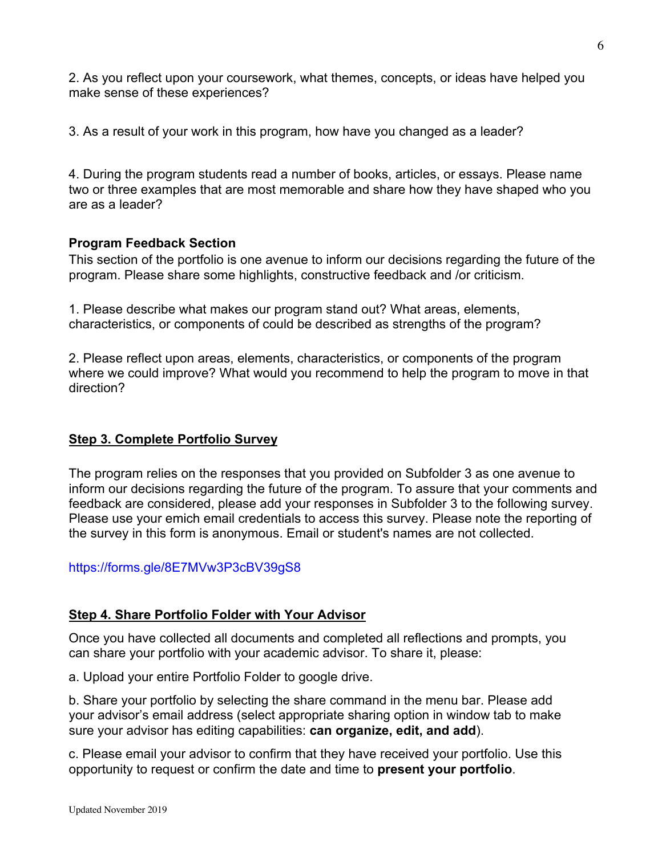2. As you reflect upon your coursework, what themes, concepts, or ideas have helped you make sense of these experiences?

3. As a result of your work in this program, how have you changed as a leader?

4. During the program students read a number of books, articles, or essays. Please name two or three examples that are most memorable and share how they have shaped who you are as a leader?

# **Program Feedback Section**

This section of the portfolio is one avenue to inform our decisions regarding the future of the program. Please share some highlights, constructive feedback and /or criticism.

1. Please describe what makes our program stand out? What areas, elements, characteristics, or components of could be described as strengths of the program?

2. Please reflect upon areas, elements, characteristics, or components of the program where we could improve? What would you recommend to help the program to move in that direction?

# **Step 3. Complete Portfolio Survey**

The program relies on the responses that you provided on Subfolder 3 as one avenue to inform our decisions regarding the future of the program. To assure that your comments and feedback are considered, please add your responses in Subfolder 3 to the following survey. Please use your emich email credentials to access this survey. Please note the reporting of the survey in this form is anonymous. Email or student's names are not collected.

## https://forms.gle/8E7MVw3P3cBV39gS8

## **Step 4. Share Portfolio Folder with Your Advisor**

Once you have collected all documents and completed all reflections and prompts, you can share your portfolio with your academic advisor. To share it, please:

a. Upload your entire Portfolio Folder to google drive.

b. Share your portfolio by selecting the share command in the menu bar. Please add your advisor's email address (select appropriate sharing option in window tab to make sure your advisor has editing capabilities: **can organize, edit, and add**).

c. Please email your advisor to confirm that they have received your portfolio. Use this opportunity to request or confirm the date and time to **present your portfolio**.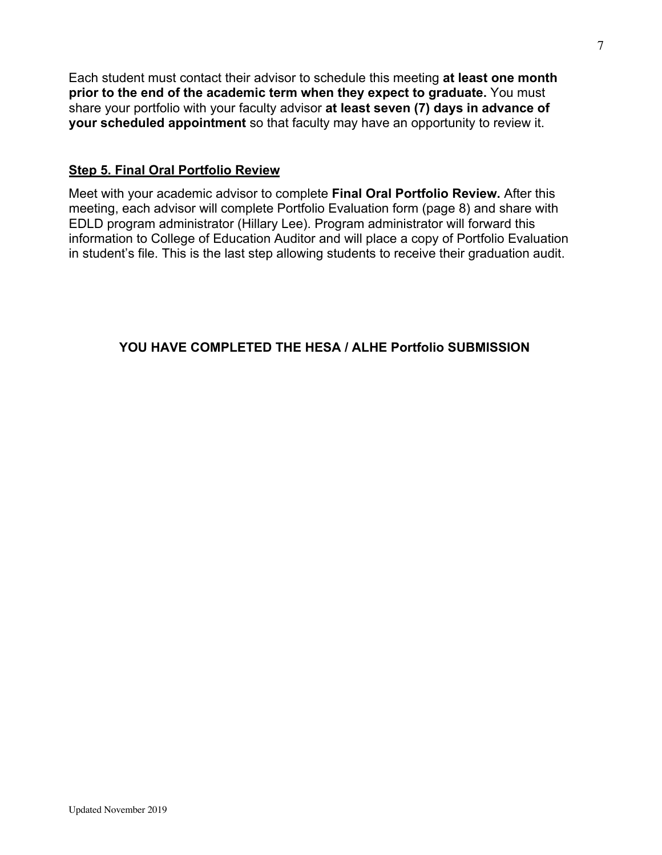Each student must contact their advisor to schedule this meeting **at least one month prior to the end of the academic term when they expect to graduate.** You must share your portfolio with your faculty advisor **at least seven (7) days in advance of your scheduled appointment** so that faculty may have an opportunity to review it.

### **Step 5. Final Oral Portfolio Review**

Meet with your academic advisor to complete **Final Oral Portfolio Review.** After this meeting, each advisor will complete Portfolio Evaluation form (page 8) and share with EDLD program administrator (Hillary Lee). Program administrator will forward this information to College of Education Auditor and will place a copy of Portfolio Evaluation in student's file. This is the last step allowing students to receive their graduation audit.

**YOU HAVE COMPLETED THE HESA / ALHE Portfolio SUBMISSION**